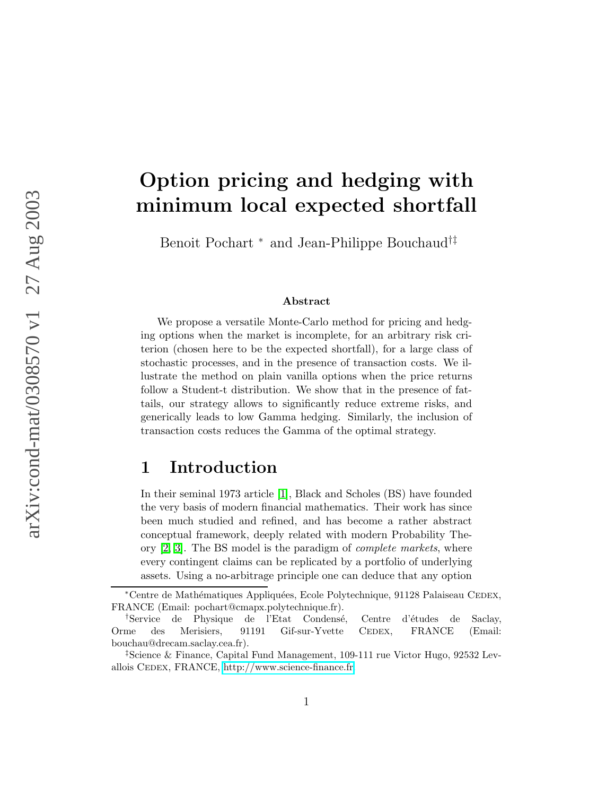# Option pricing and hedging with minimum local expected shortfall

Benoit Pochart  $^\ast$  and Jean-Philippe Bouchaud<sup>†‡</sup>

#### Abstract

We propose a versatile Monte-Carlo method for pricing and hedging options when the market is incomplete, for an arbitrary risk criterion (chosen here to be the expected shortfall), for a large class of stochastic processes, and in the presence of transaction costs. We illustrate the method on plain vanilla options when the price returns follow a Student-t distribution. We show that in the presence of fattails, our strategy allows to significantly reduce extreme risks, and generically leads to low Gamma hedging. Similarly, the inclusion of transaction costs reduces the Gamma of the optimal strategy.

### 1 Introduction

In their seminal 1973 article [\[1\]](#page-20-0), Black and Scholes (BS) have founded the very basis of modern financial mathematics. Their work has since been much studied and refined, and has become a rather abstract conceptual framework, deeply related with modern Probability Theory [\[2,](#page-20-1) [3\]](#page-20-2). The BS model is the paradigm of complete markets, where every contingent claims can be replicated by a portfolio of underlying assets. Using a no-arbitrage principle one can deduce that any option

<sup>∗</sup>Centre de Math´ematiques Appliqu´ees, Ecole Polytechnique, 91128 Palaiseau Cedex, FRANCE (Email: pochart@cmapx.polytechnique.fr).

<sup>&</sup>lt;sup>†</sup>Service de Physique de l'Etat Condensé, Centre d'études de Saclay, Orme des Merisiers, 91191 Gif-sur-Yvette CEDEX, FRANCE (Email: bouchau@drecam.saclay.cea.fr).

<sup>‡</sup>Science & Finance, Capital Fund Management, 109-111 rue Victor Hugo, 92532 Levallois CEDEX, FRANCE, [http://www.science-finance.fr.](http://www.science-finance.fr)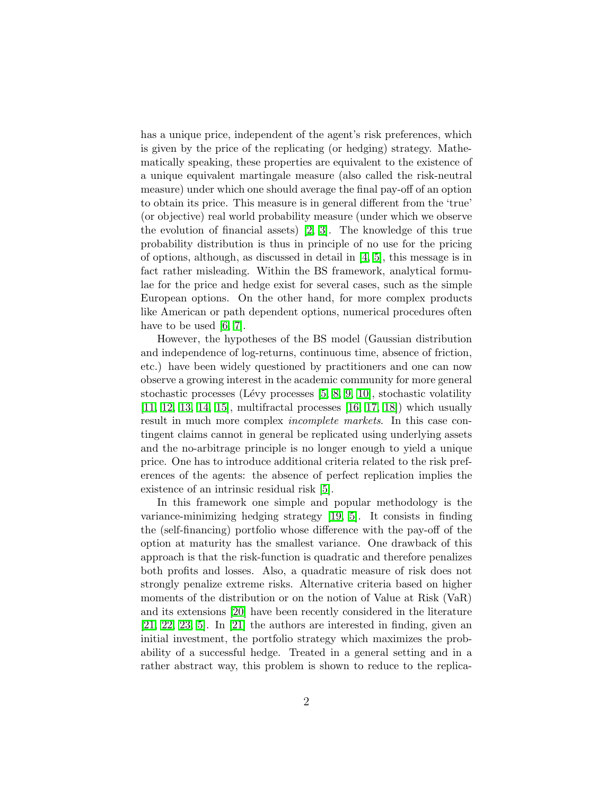has a unique price, independent of the agent's risk preferences, which is given by the price of the replicating (or hedging) strategy. Mathematically speaking, these properties are equivalent to the existence of a unique equivalent martingale measure (also called the risk-neutral measure) under which one should average the final pay-off of an option to obtain its price. This measure is in general different from the 'true' (or objective) real world probability measure (under which we observe the evolution of financial assets) [\[2,](#page-20-1) [3\]](#page-20-2). The knowledge of this true probability distribution is thus in principle of no use for the pricing of options, although, as discussed in detail in [\[4,](#page-20-3) [5\]](#page-20-4), this message is in fact rather misleading. Within the BS framework, analytical formulae for the price and hedge exist for several cases, such as the simple European options. On the other hand, for more complex products like American or path dependent options, numerical procedures often have to be used [\[6,](#page-20-5) [7\]](#page-20-6).

However, the hypotheses of the BS model (Gaussian distribution and independence of log-returns, continuous time, absence of friction, etc.) have been widely questioned by practitioners and one can now observe a growing interest in the academic community for more general stochastic processes (Lévy processes  $[5, 8, 9, 10]$  $[5, 8, 9, 10]$  $[5, 8, 9, 10]$  $[5, 8, 9, 10]$ , stochastic volatility [\[11,](#page-20-10) [12,](#page-21-0) [13,](#page-21-1) [14,](#page-21-2) [15\]](#page-21-3), multifractal processes [\[16,](#page-21-4) [17,](#page-21-5) [18\]](#page-21-6)) which usually result in much more complex incomplete markets. In this case contingent claims cannot in general be replicated using underlying assets and the no-arbitrage principle is no longer enough to yield a unique price. One has to introduce additional criteria related to the risk preferences of the agents: the absence of perfect replication implies the existence of an intrinsic residual risk [\[5\]](#page-20-4).

In this framework one simple and popular methodology is the variance-minimizing hedging strategy [\[19,](#page-21-7) [5\]](#page-20-4). It consists in finding the (self-financing) portfolio whose difference with the pay-off of the option at maturity has the smallest variance. One drawback of this approach is that the risk-function is quadratic and therefore penalizes both profits and losses. Also, a quadratic measure of risk does not strongly penalize extreme risks. Alternative criteria based on higher moments of the distribution or on the notion of Value at Risk (VaR) and its extensions [\[20\]](#page-21-8) have been recently considered in the literature [\[21,](#page-21-9) [22,](#page-21-10) [23,](#page-21-11) [5\]](#page-20-4). In [\[21\]](#page-21-9) the authors are interested in finding, given an initial investment, the portfolio strategy which maximizes the probability of a successful hedge. Treated in a general setting and in a rather abstract way, this problem is shown to reduce to the replica-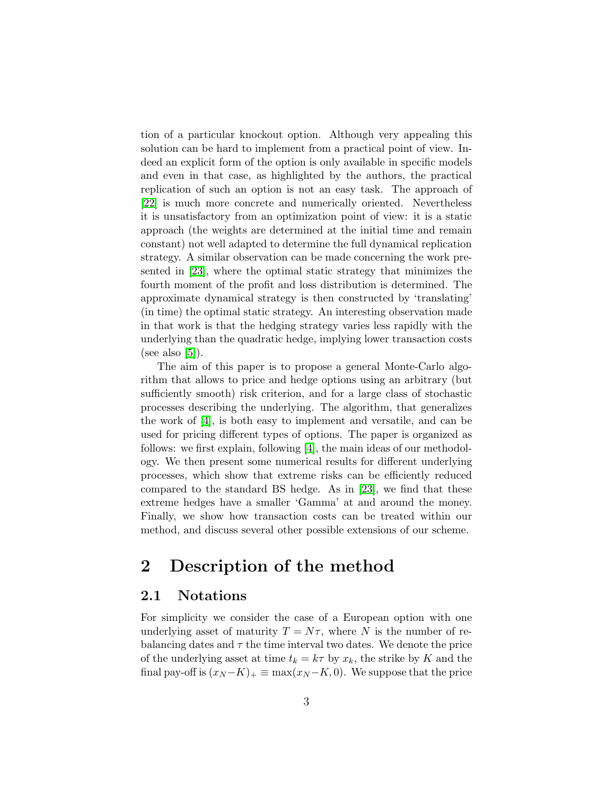tion of a particular knockout option. Although very appealing this solution can be hard to implement from a practical point of view. Indeed an explicit form of the option is only available in specific models and even in that case, as highlighted by the authors, the practical replication of such an option is not an easy task. The approach of [\[22\]](#page-21-10) is much more concrete and numerically oriented. Nevertheless it is unsatisfactory from an optimization point of view: it is a static approach (the weights are determined at the initial time and remain constant) not well adapted to determine the full dynamical replication strategy. A similar observation can be made concerning the work presented in [\[23\]](#page-21-11), where the optimal static strategy that minimizes the fourth moment of the profit and loss distribution is determined. The approximate dynamical strategy is then constructed by 'translating' (in time) the optimal static strategy. An interesting observation made in that work is that the hedging strategy varies less rapidly with the underlying than the quadratic hedge, implying lower transaction costs (see also  $[5]$ ).

The aim of this paper is to propose a general Monte-Carlo algorithm that allows to price and hedge options using an arbitrary (but sufficiently smooth) risk criterion, and for a large class of stochastic processes describing the underlying. The algorithm, that generalizes the work of [\[4\]](#page-20-3), is both easy to implement and versatile, and can be used for pricing different types of options. The paper is organized as follows: we first explain, following [\[4\]](#page-20-3), the main ideas of our methodology. We then present some numerical results for different underlying processes, which show that extreme risks can be efficiently reduced compared to the standard BS hedge. As in [\[23\]](#page-21-11), we find that these extreme hedges have a smaller 'Gamma' at and around the money. Finally, we show how transaction costs can be treated within our method, and discuss several other possible extensions of our scheme.

### 2 Description of the method

### 2.1 Notations

For simplicity we consider the case of a European option with one underlying asset of maturity  $T = N\tau$ , where N is the number of rebalancing dates and  $\tau$  the time interval two dates. We denote the price of the underlying asset at time  $t_k = k\tau$  by  $x_k$ , the strike by K and the final pay-off is  $(x_N - K)_+ \equiv \max(x_N - K, 0)$ . We suppose that the price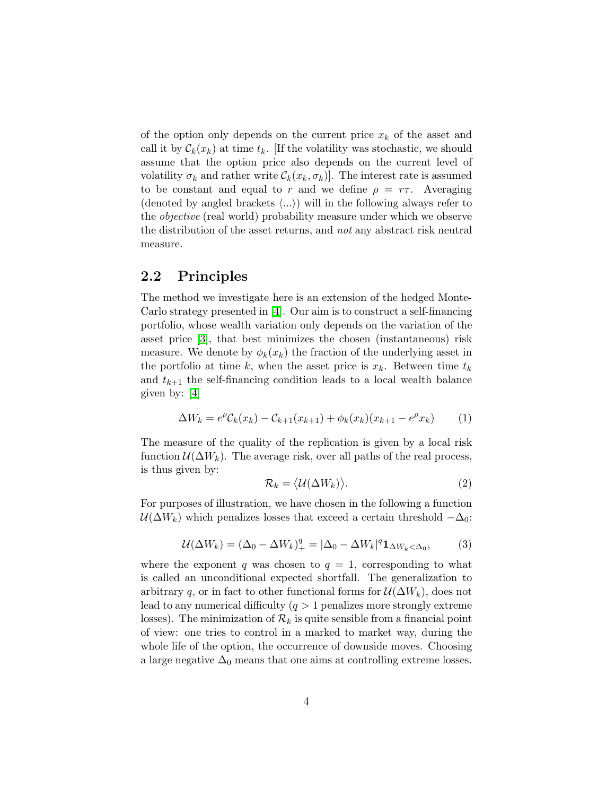of the option only depends on the current price  $x_k$  of the asset and call it by  $\mathcal{C}_k(x_k)$  at time  $t_k$ . [If the volatility was stochastic, we should assume that the option price also depends on the current level of volatility  $\sigma_k$  and rather write  $\mathcal{C}_k(x_k, \sigma_k)$ . The interest rate is assumed to be constant and equal to r and we define  $\rho = r\tau$ . Averaging (denoted by angled brackets  $\langle ...\rangle$ ) will in the following always refer to the objective (real world) probability measure under which we observe the distribution of the asset returns, and not any abstract risk neutral measure.

#### 2.2 Principles

The method we investigate here is an extension of the hedged Monte-Carlo strategy presented in [\[4\]](#page-20-3). Our aim is to construct a self-financing portfolio, whose wealth variation only depends on the variation of the asset price [\[3\]](#page-20-2), that best minimizes the chosen (instantaneous) risk measure. We denote by  $\phi_k(x_k)$  the fraction of the underlying asset in the portfolio at time k, when the asset price is  $x_k$ . Between time  $t_k$ and  $t_{k+1}$  the self-financing condition leads to a local wealth balance given by: [\[4\]](#page-20-3)

<span id="page-3-0"></span>
$$
\Delta W_k = e^{\rho} C_k(x_k) - C_{k+1}(x_{k+1}) + \phi_k(x_k)(x_{k+1} - e^{\rho} x_k)
$$
 (1)

The measure of the quality of the replication is given by a local risk function  $\mathcal{U}(\Delta W_k)$ . The average risk, over all paths of the real process, is thus given by:

$$
\mathcal{R}_k = \langle \mathcal{U}(\Delta W_k) \rangle. \tag{2}
$$

For purposes of illustration, we have chosen in the following a function  $U(\Delta W_k)$  which penalizes losses that exceed a certain threshold  $-\Delta_0$ :

$$
\mathcal{U}(\Delta W_k) = (\Delta_0 - \Delta W_k)_+^q = |\Delta_0 - \Delta W_k|^q \mathbf{1}_{\Delta W_k < \Delta_0},\tag{3}
$$

where the exponent q was chosen to  $q = 1$ , corresponding to what is called an unconditional expected shortfall. The generalization to arbitrary q, or in fact to other functional forms for  $\mathcal{U}(\Delta W_k)$ , does not lead to any numerical difficulty  $(q > 1)$  penalizes more strongly extreme losses). The minimization of  $\mathcal{R}_k$  is quite sensible from a financial point of view: one tries to control in a marked to market way, during the whole life of the option, the occurrence of downside moves. Choosing a large negative  $\Delta_0$  means that one aims at controlling extreme losses.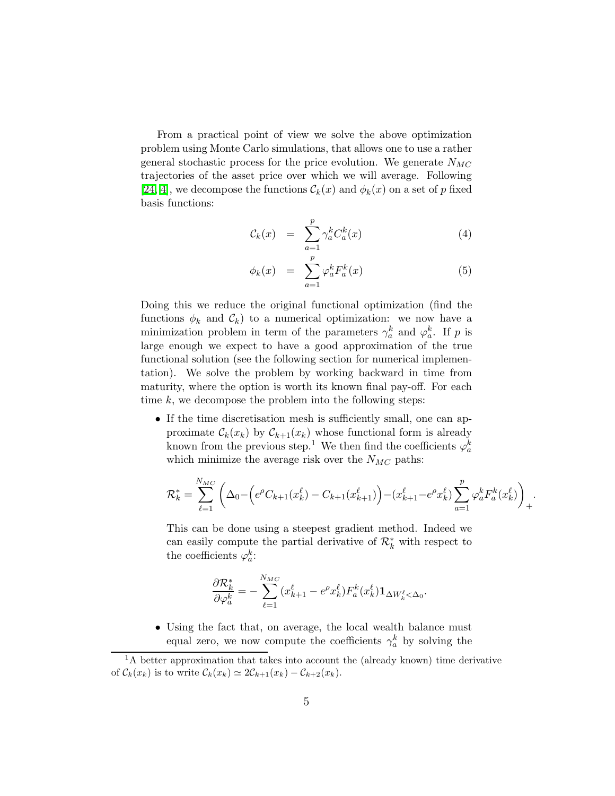From a practical point of view we solve the above optimization problem using Monte Carlo simulations, that allows one to use a rather general stochastic process for the price evolution. We generate  $N_{MC}$ trajectories of the asset price over which we will average. Following [\[24,](#page-21-12) [4\]](#page-20-3), we decompose the functions  $\mathcal{C}_k(x)$  and  $\phi_k(x)$  on a set of p fixed basis functions:

$$
\mathcal{C}_k(x) = \sum_{a=1}^p \gamma_a^k C_a^k(x) \tag{4}
$$

$$
\phi_k(x) = \sum_{a=1}^p \varphi_a^k F_a^k(x) \tag{5}
$$

Doing this we reduce the original functional optimization (find the functions  $\phi_k$  and  $\mathcal{C}_k$ ) to a numerical optimization: we now have a minimization problem in term of the parameters  $\gamma_a^k$  and  $\varphi_a^k$ . If p is large enough we expect to have a good approximation of the true functional solution (see the following section for numerical implementation). We solve the problem by working backward in time from maturity, where the option is worth its known final pay-off. For each time  $k$ , we decompose the problem into the following steps:

• If the time discretisation mesh is sufficiently small, one can approximate  $\mathcal{C}_k(x_k)$  by  $\mathcal{C}_{k+1}(x_k)$  whose functional form is already known from the previous step.<sup>1</sup> We then find the coefficients  $\varphi_a^k$ which minimize the average risk over the  $N_{MC}$  paths:

$$
\mathcal{R}_{k}^{*} = \sum_{\ell=1}^{N_{MC}} \left( \Delta_0 - \left( e^{\rho} C_{k+1}(x_k^{\ell}) - C_{k+1}(x_{k+1}^{\ell}) \right) - (x_{k+1}^{\ell} - e^{\rho} x_k^{\ell}) \sum_{a=1}^{p} \varphi_a^k F_a^k(x_k^{\ell}) \right)_{+}
$$

.

This can be done using a steepest gradient method. Indeed we can easily compute the partial derivative of  $\mathcal{R}_k^*$  with respect to the coefficients  $\varphi_a^k$ :

$$
\frac{\partial \mathcal{R}_k^*}{\partial \varphi_a^k} = -\sum_{\ell=1}^{N_{MC}} (x_{k+1}^{\ell} - e^{\rho} x_k^{\ell}) F_a^k(x_k^{\ell}) \mathbf{1}_{\Delta W_k^{\ell} < \Delta_0}.
$$

• Using the fact that, on average, the local wealth balance must equal zero, we now compute the coefficients  $\gamma_a^k$  by solving the

<sup>&</sup>lt;sup>1</sup>A better approximation that takes into account the (already known) time derivative of  $\mathcal{C}_k(x_k)$  is to write  $\mathcal{C}_k(x_k) \simeq 2\mathcal{C}_{k+1}(x_k) - \mathcal{C}_{k+2}(x_k)$ .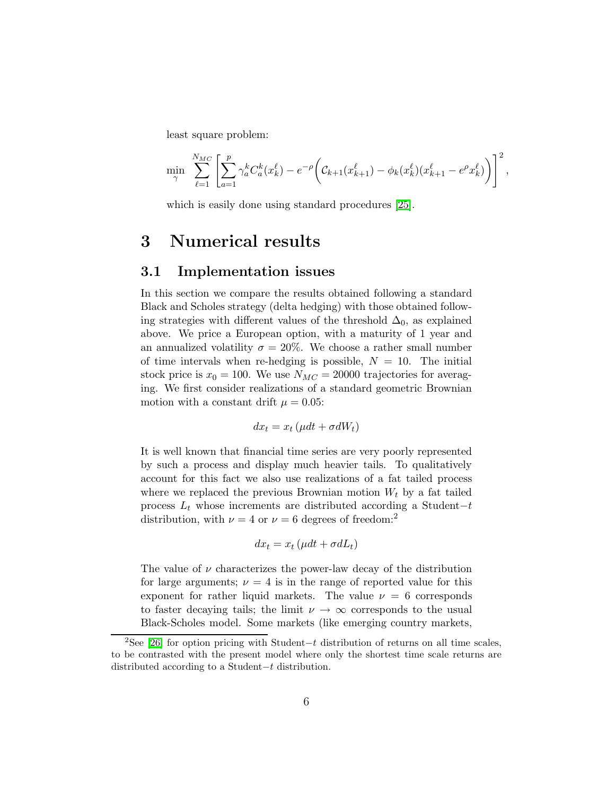least square problem:

$$
\min_{\gamma} \sum_{\ell=1}^{N_{MC}} \left[ \sum_{a=1}^p \gamma_a^k C_a^k(x_k^{\ell}) - e^{-\rho} \left( C_{k+1}(x_{k+1}^{\ell}) - \phi_k(x_k^{\ell})(x_{k+1}^{\ell} - e^{\rho}x_k^{\ell}) \right) \right]^2,
$$

which is easily done using standard procedures [\[25\]](#page-21-13).

### 3 Numerical results

#### 3.1 Implementation issues

In this section we compare the results obtained following a standard Black and Scholes strategy (delta hedging) with those obtained following strategies with different values of the threshold  $\Delta_0$ , as explained above. We price a European option, with a maturity of 1 year and an annualized volatility  $\sigma = 20\%$ . We choose a rather small number of time intervals when re-hedging is possible,  $N = 10$ . The initial stock price is  $x_0 = 100$ . We use  $N_{MC} = 20000$  trajectories for averaging. We first consider realizations of a standard geometric Brownian motion with a constant drift  $\mu = 0.05$ :

$$
dx_t = x_t \left(\mu dt + \sigma dW_t\right)
$$

It is well known that financial time series are very poorly represented by such a process and display much heavier tails. To qualitatively account for this fact we also use realizations of a fat tailed process where we replaced the previous Brownian motion  $W_t$  by a fat tailed process  $L_t$  whose increments are distributed according a Student–t distribution, with  $\nu = 4$  or  $\nu = 6$  degrees of freedom:<sup>2</sup>

$$
dx_t = x_t \left(\mu dt + \sigma dL_t\right)
$$

The value of  $\nu$  characterizes the power-law decay of the distribution for large arguments;  $\nu = 4$  is in the range of reported value for this exponent for rather liquid markets. The value  $\nu = 6$  corresponds to faster decaying tails; the limit  $\nu \rightarrow \infty$  corresponds to the usual Black-Scholes model. Some markets (like emerging country markets,

<sup>&</sup>lt;sup>2</sup>See [\[26\]](#page-22-0) for option pricing with Student–t distribution of returns on all time scales, to be contrasted with the present model where only the shortest time scale returns are distributed according to a Student−t distribution.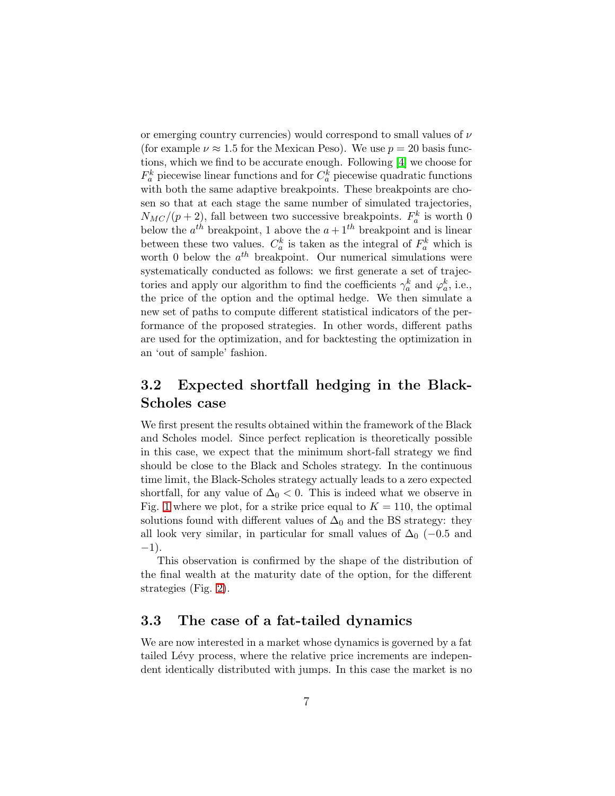or emerging country currencies) would correspond to small values of  $\nu$ (for example  $\nu \approx 1.5$  for the Mexican Peso). We use  $p = 20$  basis functions, which we find to be accurate enough. Following [\[4\]](#page-20-3) we choose for  $F_a^k$  piecewise linear functions and for  $C_a^k$  piecewise quadratic functions with both the same adaptive breakpoints. These breakpoints are chosen so that at each stage the same number of simulated trajectories,  $N_{MC}/(p+2)$ , fall between two successive breakpoints.  $F_a^k$  is worth 0 below the  $a^{th}$  breakpoint, 1 above the  $a + 1^{th}$  breakpoint and is linear between these two values.  $C_a^k$  is taken as the integral of  $F_a^k$  which is worth 0 below the  $a^{th}$  breakpoint. Our numerical simulations were systematically conducted as follows: we first generate a set of trajectories and apply our algorithm to find the coefficients  $\gamma_a^k$  and  $\varphi_a^k$ , i.e., the price of the option and the optimal hedge. We then simulate a new set of paths to compute different statistical indicators of the performance of the proposed strategies. In other words, different paths are used for the optimization, and for backtesting the optimization in an 'out of sample' fashion.

### 3.2 Expected shortfall hedging in the Black-Scholes case

We first present the results obtained within the framework of the Black and Scholes model. Since perfect replication is theoretically possible in this case, we expect that the minimum short-fall strategy we find should be close to the Black and Scholes strategy. In the continuous time limit, the Black-Scholes strategy actually leads to a zero expected shortfall, for any value of  $\Delta_0$  < 0. This is indeed what we observe in Fig. [1](#page-7-0) where we plot, for a strike price equal to  $K = 110$ , the optimal solutions found with different values of  $\Delta_0$  and the BS strategy: they all look very similar, in particular for small values of  $\Delta_0$  (−0.5 and −1).

This observation is confirmed by the shape of the distribution of the final wealth at the maturity date of the option, for the different strategies (Fig. [2\)](#page-8-0).

### 3.3 The case of a fat-tailed dynamics

We are now interested in a market whose dynamics is governed by a fat tailed Lévy process, where the relative price increments are independent identically distributed with jumps. In this case the market is no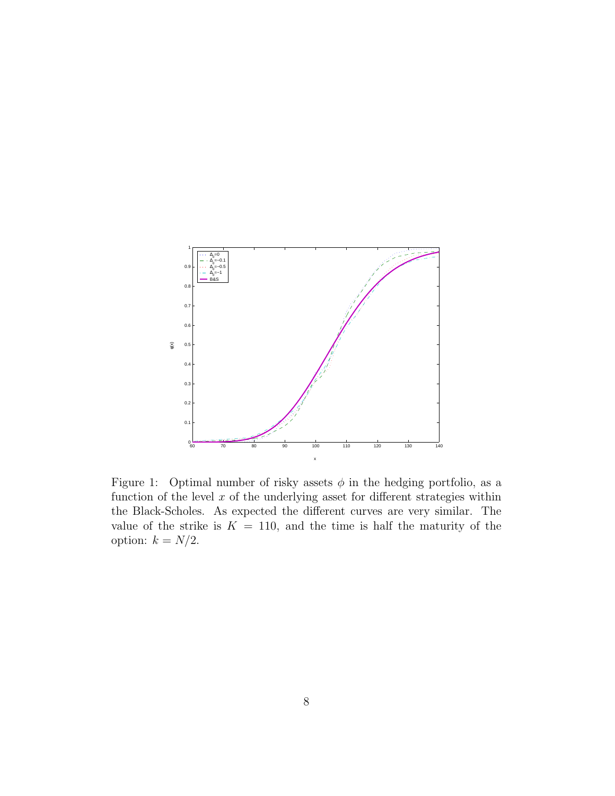

<span id="page-7-0"></span>Figure 1: Optimal number of risky assets  $\phi$  in the hedging portfolio, as a function of the level  $x$  of the underlying asset for different strategies within the Black-Scholes. As expected the different curves are very similar. The value of the strike is  $K = 110$ , and the time is half the maturity of the option:  $k = N/2$ .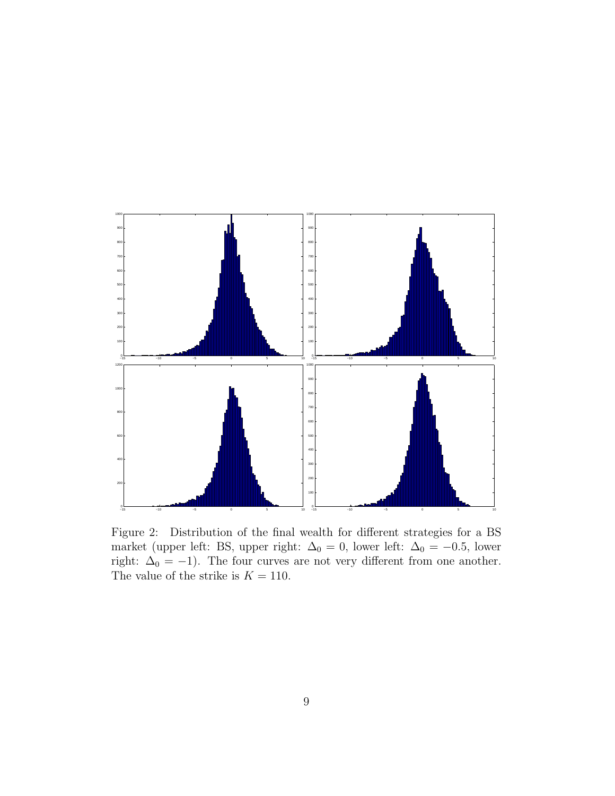

<span id="page-8-0"></span>Figure 2: Distribution of the final wealth for different strategies for a BS market (upper left: BS, upper right:  $\Delta_0 = 0$ , lower left:  $\Delta_0 = -0.5$ , lower right:  $\Delta_0 = -1$ ). The four curves are not very different from one another. The value of the strike is  $K = 110$ .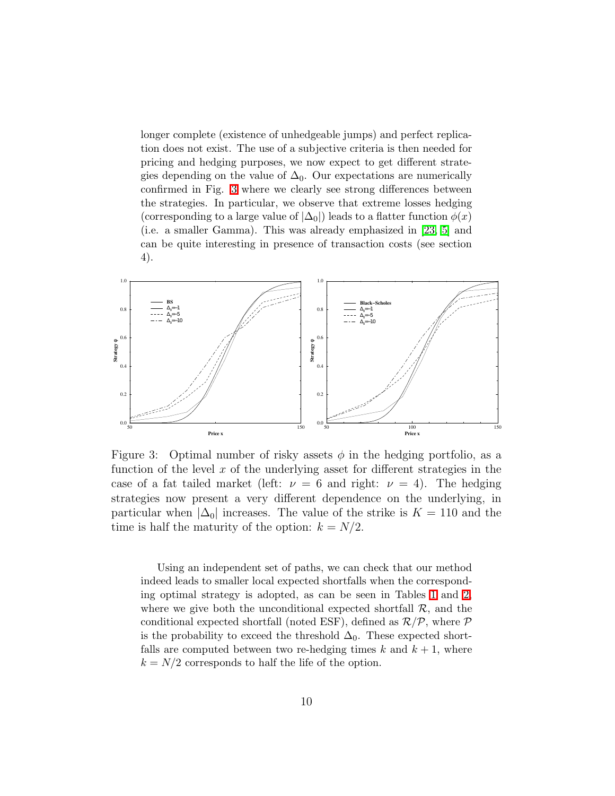longer complete (existence of unhedgeable jumps) and perfect replication does not exist. The use of a subjective criteria is then needed for pricing and hedging purposes, we now expect to get different strategies depending on the value of  $\Delta_0$ . Our expectations are numerically confirmed in Fig. [3](#page-9-0) where we clearly see strong differences between the strategies. In particular, we observe that extreme losses hedging (corresponding to a large value of  $|\Delta_0|$ ) leads to a flatter function  $\phi(x)$ (i.e. a smaller Gamma). This was already emphasized in [\[23,](#page-21-11) [5\]](#page-20-4) and can be quite interesting in presence of transaction costs (see section 4).



<span id="page-9-0"></span>Figure 3: Optimal number of risky assets  $\phi$  in the hedging portfolio, as a function of the level  $x$  of the underlying asset for different strategies in the case of a fat tailed market (left:  $\nu = 6$  and right:  $\nu = 4$ ). The hedging strategies now present a very different dependence on the underlying, in particular when  $|\Delta_0|$  increases. The value of the strike is  $K = 110$  and the time is half the maturity of the option:  $k = N/2$ .

Using an independent set of paths, we can check that our method indeed leads to smaller local expected shortfalls when the corresponding optimal strategy is adopted, as can be seen in Tables [1](#page-10-0) and [2,](#page-10-1) where we give both the unconditional expected shortfall  $\mathcal{R}$ , and the conditional expected shortfall (noted ESF), defined as  $\mathcal{R}/\mathcal{P}$ , where  $\mathcal P$ is the probability to exceed the threshold  $\Delta_0$ . These expected shortfalls are computed between two re-hedging times  $k$  and  $k + 1$ , where  $k = N/2$  corresponds to half the life of the option.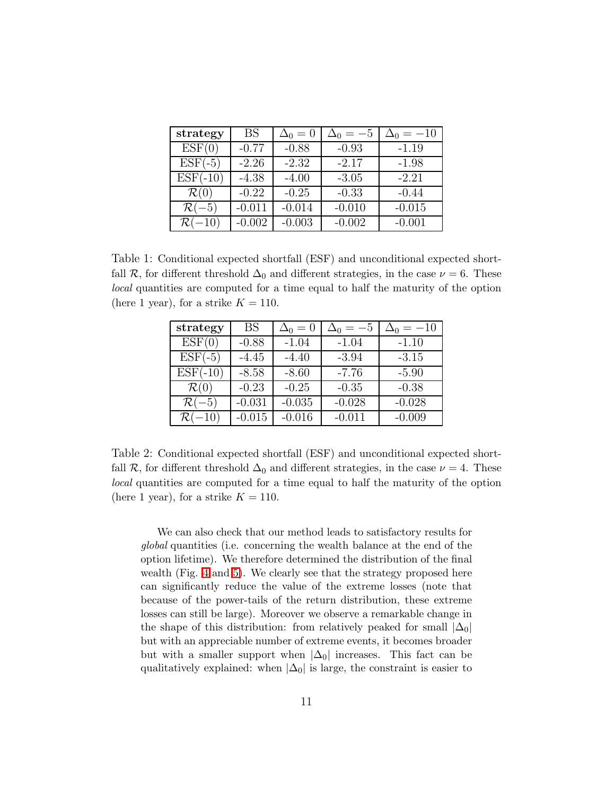| strategy          | <b>BS</b> | $\Delta_0=0$ | $\Delta_0 = -5$ | $=-10$   |
|-------------------|-----------|--------------|-----------------|----------|
| ESF(0)            | $-0.77$   | $-0.88$      | $-0.93$         | $-1.19$  |
| $ESF(-5)$         | $-2.26$   | $-2.32$      | $-2.17$         | $-1.98$  |
| $ESF(-10)$        | $-4.38$   | $-4.00$      | $-3.05$         | $-2.21$  |
| $\mathcal{R}(0)$  | $-0.22$   | $-0.25$      | $-0.33$         | $-0.44$  |
| $\mathcal{R}(-5)$ | $-0.011$  | $-0.014$     | $-0.010$        | $-0.015$ |
| $-10$             | $-0.002$  | $-0.003$     | $-0.002$        | $-0.001$ |

<span id="page-10-0"></span>Table 1: Conditional expected shortfall (ESF) and unconditional expected shortfall R, for different threshold  $\Delta_0$  and different strategies, in the case  $\nu = 6$ . These local quantities are computed for a time equal to half the maturity of the option (here 1 year), for a strike  $K = 110$ .

| strategy          | <b>BS</b> | $\Delta_0=0$ | $\Delta_0 = -5$ | $=-10$   |
|-------------------|-----------|--------------|-----------------|----------|
| ESF(0)            | $-0.88$   | $-1.04$      | $-1.04$         | $-1.10$  |
| $ESF(-5)$         | $-4.45$   | $-4.40$      | $-3.94$         | $-3.15$  |
| $ESF(-10)$        | $-8.58$   | $-8.60$      | $-7.76$         | $-5.90$  |
| $\mathcal{R}(0)$  | $-0.23$   | $-0.25$      | $-0.35$         | $-0.38$  |
| $\mathcal{R}(-5)$ | $-0.031$  | $-0.035$     | $-0.028$        | $-0.028$ |
| $-10$             | $-0.015$  | $-0.016$     | $-0.011$        | $-0.009$ |

<span id="page-10-1"></span>Table 2: Conditional expected shortfall (ESF) and unconditional expected shortfall R, for different threshold  $\Delta_0$  and different strategies, in the case  $\nu = 4$ . These local quantities are computed for a time equal to half the maturity of the option (here 1 year), for a strike  $K = 110$ .

We can also check that our method leads to satisfactory results for global quantities (i.e. concerning the wealth balance at the end of the option lifetime). We therefore determined the distribution of the final wealth (Fig. [4](#page-11-0) and [5\)](#page-12-0). We clearly see that the strategy proposed here can significantly reduce the value of the extreme losses (note that because of the power-tails of the return distribution, these extreme losses can still be large). Moreover we observe a remarkable change in the shape of this distribution: from relatively peaked for small  $|\Delta_0|$ but with an appreciable number of extreme events, it becomes broader but with a smaller support when  $|\Delta_0|$  increases. This fact can be qualitatively explained: when  $|\Delta_0|$  is large, the constraint is easier to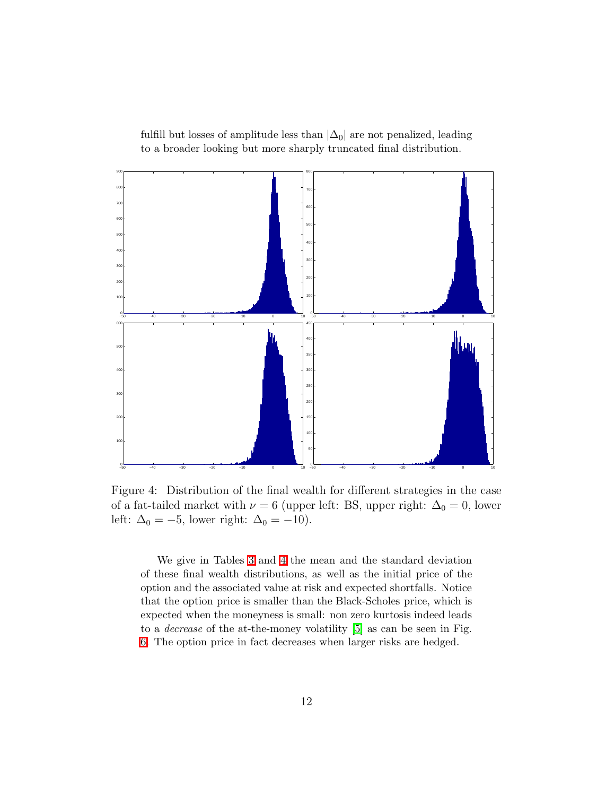fulfill but losses of amplitude less than  $|\Delta_0|$  are not penalized, leading to a broader looking but more sharply truncated final distribution.



<span id="page-11-0"></span>Figure 4: Distribution of the final wealth for different strategies in the case of a fat-tailed market with  $\nu = 6$  (upper left: BS, upper right:  $\Delta_0 = 0$ , lower left:  $\Delta_0 = -5$ , lower right:  $\Delta_0 = -10$ ).

We give in Tables [3](#page-14-0) and [4](#page-14-1) the mean and the standard deviation of these final wealth distributions, as well as the initial price of the option and the associated value at risk and expected shortfalls. Notice that the option price is smaller than the Black-Scholes price, which is expected when the moneyness is small: non zero kurtosis indeed leads to a decrease of the at-the-money volatility [\[5\]](#page-20-4) as can be seen in Fig. [6.](#page-13-0) The option price in fact decreases when larger risks are hedged.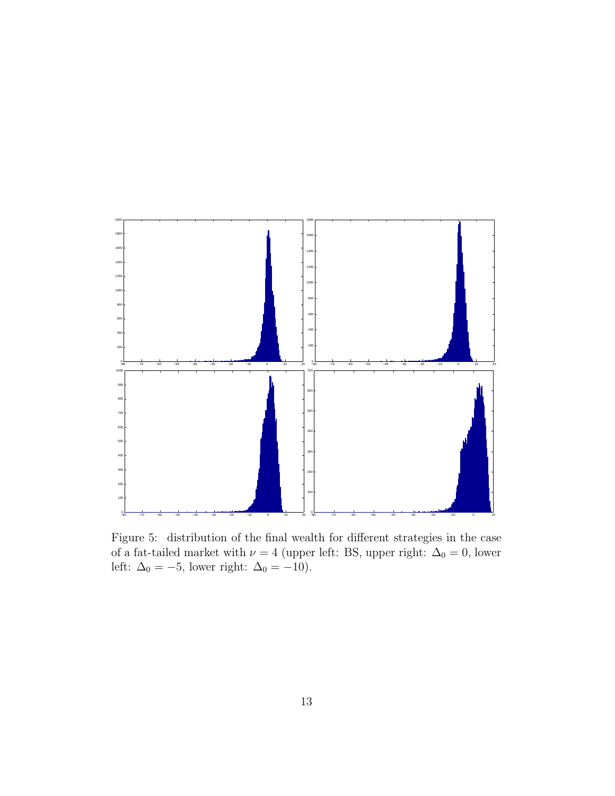

<span id="page-12-0"></span>Figure 5: distribution of the final wealth for different strategies in the case of a fat-tailed market with  $\nu = 4$  (upper left: BS, upper right:  $\Delta_0 = 0$ , lower left:  $\Delta_0 = -5$ , lower right:  $\Delta_0 = -10$ ).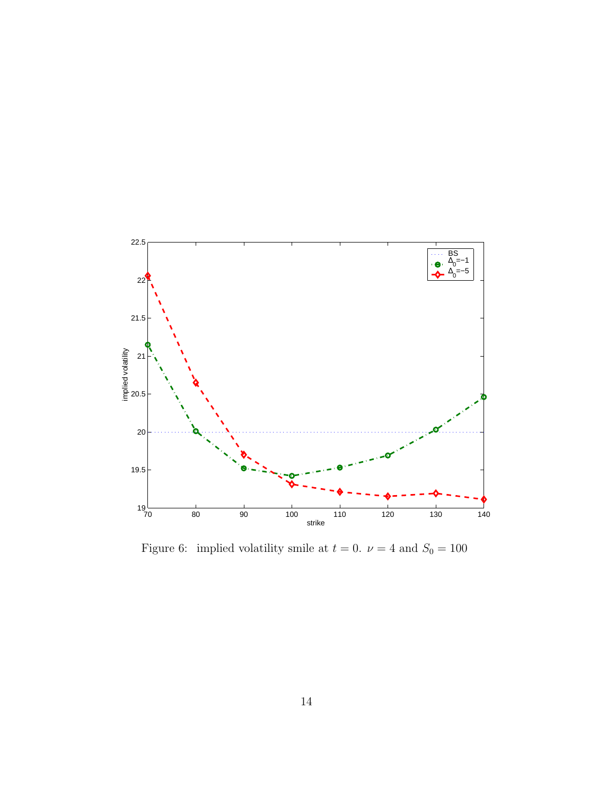

<span id="page-13-0"></span>Figure 6: implied volatility smile at  $t = 0$ .  $\nu = 4$  and  $S_0 = 100$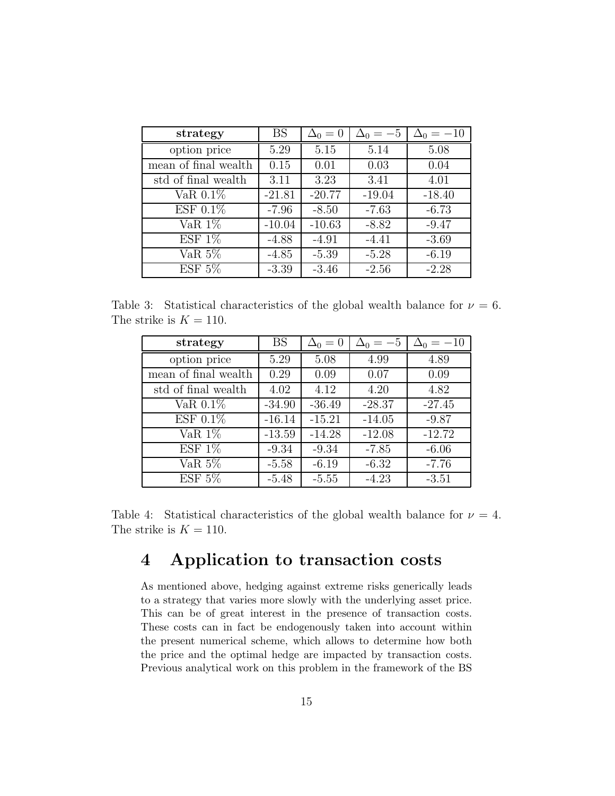| strategy                   | <b>BS</b> | $\Delta_0=0$ | $\Delta_0=-5$ | $\Delta_0 = -10$ |
|----------------------------|-----------|--------------|---------------|------------------|
| option price               | 5.29      | 5.15         | 5.14          | 5.08             |
| mean of final wealth       | 0.15      | 0.01         | 0.03          | 0.04             |
| std of final wealth        | 3.11      | 3.23         | 3.41          | 4.01             |
| VaR $0.1\%$                | $-21.81$  | $-20.77$     | $-19.04$      | $-18.40$         |
| ESF 0.1%                   | $-7.96$   | $-8.50$      | $-7.63$       | $-6.73$          |
| VaR $1\%$                  | $-10.04$  | $-10.63$     | $-8.82$       | $-9.47$          |
| ESF 1%                     | $-4.88$   | $-4.91$      | $-4.41$       | $-3.69$          |
| $\overline{\text{VaR}}$ 5% | $-4.85$   | $-5.39$      | $-5.28$       | $-6.19$          |
| ESF 5%                     | $-3.39$   | $-3.46$      | $-2.56$       | $-2.28$          |

<span id="page-14-0"></span>Table 3: Statistical characteristics of the global wealth balance for  $\nu = 6$ . The strike is  $K = 110$ .

| strategy             | BS       | $\Delta_0=0$ | $\Delta_0 = -5$ | $\Delta_0 = -10$ |
|----------------------|----------|--------------|-----------------|------------------|
| option price         | 5.29     | 5.08         | 4.99            | 4.89             |
| mean of final wealth | 0.29     | 0.09         | 0.07            | 0.09             |
| std of final wealth  | 4.02     | 4.12         | 4.20            | 4.82             |
| VaR $0.1\%$          | $-34.90$ | $-36.49$     | $-28.37$        | $-27.45$         |
| ESF 0.1%             | $-16.14$ | $-15.21$     | $-14.05$        | $-9.87$          |
| $VaR$ 1%             | $-13.59$ | $-14.28$     | $-12.08$        | $-12.72$         |
| ESF 1%               | $-9.34$  | $-9.34$      | $-7.85$         | $-6.06$          |
| VaR 5 $\%$           | $-5.58$  | $-6.19$      | $-6.32$         | $-7.76$          |
| ESF $5\%$            | $-5.48$  | $-5.55$      | $-4.23$         | $-3.51$          |

<span id="page-14-1"></span>Table 4: Statistical characteristics of the global wealth balance for  $\nu = 4$ . The strike is  $K = 110$ .

## 4 Application to transaction costs

As mentioned above, hedging against extreme risks generically leads to a strategy that varies more slowly with the underlying asset price. This can be of great interest in the presence of transaction costs. These costs can in fact be endogenously taken into account within the present numerical scheme, which allows to determine how both the price and the optimal hedge are impacted by transaction costs. Previous analytical work on this problem in the framework of the BS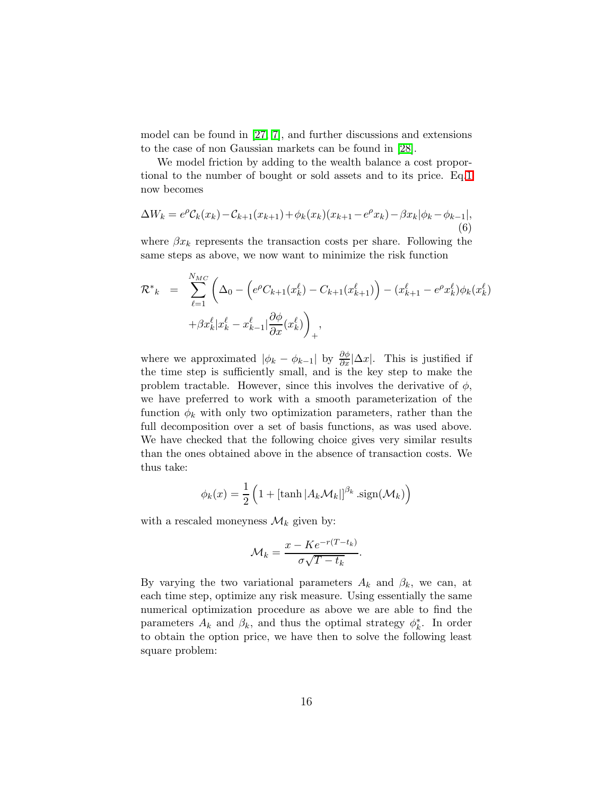model can be found in [\[27,](#page-22-1) [7\]](#page-20-6), and further discussions and extensions to the case of non Gaussian markets can be found in [\[28\]](#page-22-2).

We model friction by adding to the wealth balance a cost proportional to the number of bought or sold assets and to its price. Eq[.1](#page-3-0) now becomes

$$
\Delta W_k = e^{\rho} C_k(x_k) - C_{k+1}(x_{k+1}) + \phi_k(x_k)(x_{k+1} - e^{\rho} x_k) - \beta x_k |\phi_k - \phi_{k-1}|, \tag{6}
$$

where  $\beta x_k$  represents the transaction costs per share. Following the same steps as above, we now want to minimize the risk function

$$
\mathcal{R}^*_{k} = \sum_{\ell=1}^{N_{MC}} \left( \Delta_0 - \left( e^{\rho} C_{k+1}(x_k^{\ell}) - C_{k+1}(x_{k+1}^{\ell}) \right) - (x_{k+1}^{\ell} - e^{\rho} x_k^{\ell}) \phi_k(x_k^{\ell}) + \beta x_k^{\ell} |x_k^{\ell} - x_{k-1}^{\ell}| \frac{\partial \phi}{\partial x}(x_k^{\ell}) \right)_{+},
$$

where we approximated  $|\phi_k - \phi_{k-1}|$  by  $\frac{\partial \phi}{\partial x} |\Delta x|$ . This is justified if the time step is sufficiently small, and is the key step to make the problem tractable. However, since this involves the derivative of  $\phi$ , we have preferred to work with a smooth parameterization of the function  $\phi_k$  with only two optimization parameters, rather than the full decomposition over a set of basis functions, as was used above. We have checked that the following choice gives very similar results than the ones obtained above in the absence of transaction costs. We thus take:

$$
\phi_k(x) = \frac{1}{2} \left( 1 + \left[ \tanh \left| A_k \mathcal{M}_k \right| \right]^{\beta_k} \cdot \text{sign}(\mathcal{M}_k) \right)
$$

with a rescaled moneyness  $\mathcal{M}_k$  given by:

$$
\mathcal{M}_k = \frac{x - Ke^{-r(T - t_k)}}{\sigma\sqrt{T - t_k}}.
$$

By varying the two variational parameters  $A_k$  and  $\beta_k$ , we can, at each time step, optimize any risk measure. Using essentially the same numerical optimization procedure as above we are able to find the parameters  $A_k$  and  $\beta_k$ , and thus the optimal strategy  $\phi_k^*$  $\stackrel{*}{\phantom{*}}_k$ . In order to obtain the option price, we have then to solve the following least square problem: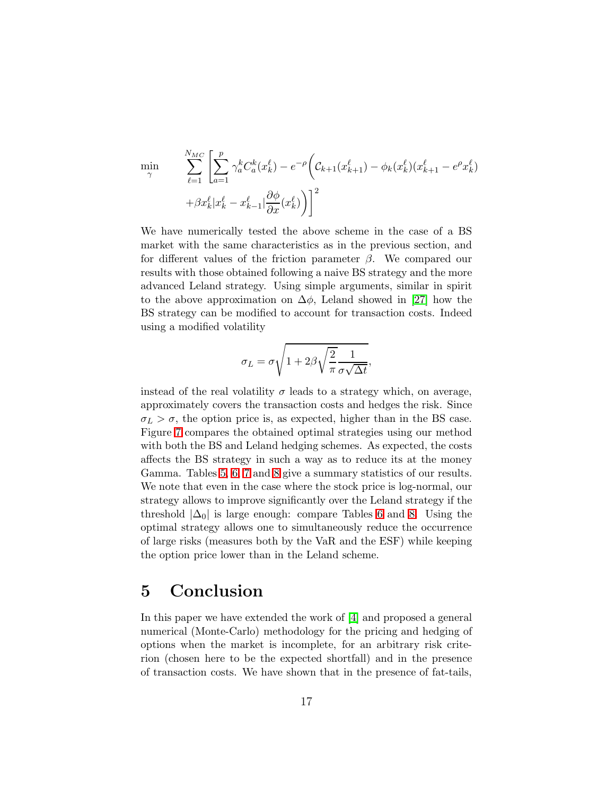$$
\min_{\gamma} \qquad \sum_{\ell=1}^{N_{MC}} \left[ \sum_{a=1}^{p} \gamma_a^k C_a^k(x_k^{\ell}) - e^{-\rho} \left( C_{k+1}(x_{k+1}^{\ell}) - \phi_k(x_k^{\ell})(x_{k+1}^{\ell} - e^{\rho} x_k^{\ell}) \right) + \beta x_k^{\ell} | x_k^{\ell} - x_{k-1}^{\ell}| \frac{\partial \phi}{\partial x}(x_k^{\ell}) \right)^2
$$

We have numerically tested the above scheme in the case of a BS market with the same characteristics as in the previous section, and for different values of the friction parameter  $\beta$ . We compared our results with those obtained following a naive BS strategy and the more advanced Leland strategy. Using simple arguments, similar in spirit to the above approximation on  $\Delta\phi$ , Leland showed in [\[27\]](#page-22-1) how the BS strategy can be modified to account for transaction costs. Indeed using a modified volatility

$$
\sigma_L = \sigma \sqrt{1 + 2\beta \sqrt{\frac{2}{\pi}} \frac{1}{\sigma \sqrt{\Delta t}}},
$$

instead of the real volatility  $\sigma$  leads to a strategy which, on average, approximately covers the transaction costs and hedges the risk. Since  $\sigma_L > \sigma$ , the option price is, as expected, higher than in the BS case. Figure [7](#page-17-0) compares the obtained optimal strategies using our method with both the BS and Leland hedging schemes. As expected, the costs affects the BS strategy in such a way as to reduce its at the money Gamma. Tables [5,](#page-18-0) [6,](#page-18-1) [7](#page-19-0) and [8](#page-19-1) give a summary statistics of our results. We note that even in the case where the stock price is log-normal, our strategy allows to improve significantly over the Leland strategy if the threshold  $|\Delta_0|$  is large enough: compare Tables [6](#page-18-1) and [8.](#page-19-1) Using the optimal strategy allows one to simultaneously reduce the occurrence of large risks (measures both by the VaR and the ESF) while keeping the option price lower than in the Leland scheme.

### 5 Conclusion

In this paper we have extended the work of [\[4\]](#page-20-3) and proposed a general numerical (Monte-Carlo) methodology for the pricing and hedging of options when the market is incomplete, for an arbitrary risk criterion (chosen here to be the expected shortfall) and in the presence of transaction costs. We have shown that in the presence of fat-tails,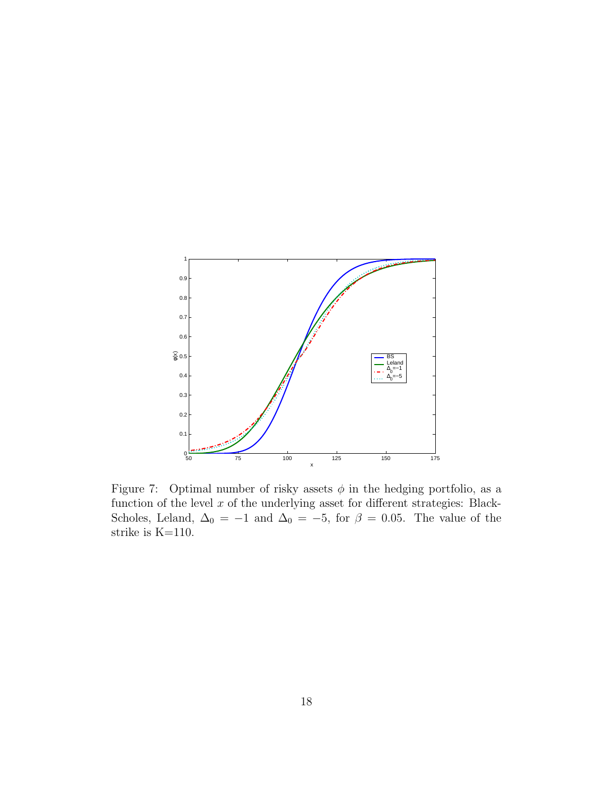

<span id="page-17-0"></span>Figure 7: Optimal number of risky assets  $\phi$  in the hedging portfolio, as a function of the level  $x$  of the underlying asset for different strategies: Black-Scholes, Leland,  $\Delta_0 = -1$  and  $\Delta_0 = -5$ , for  $\beta = 0.05$ . The value of the strike is K=110.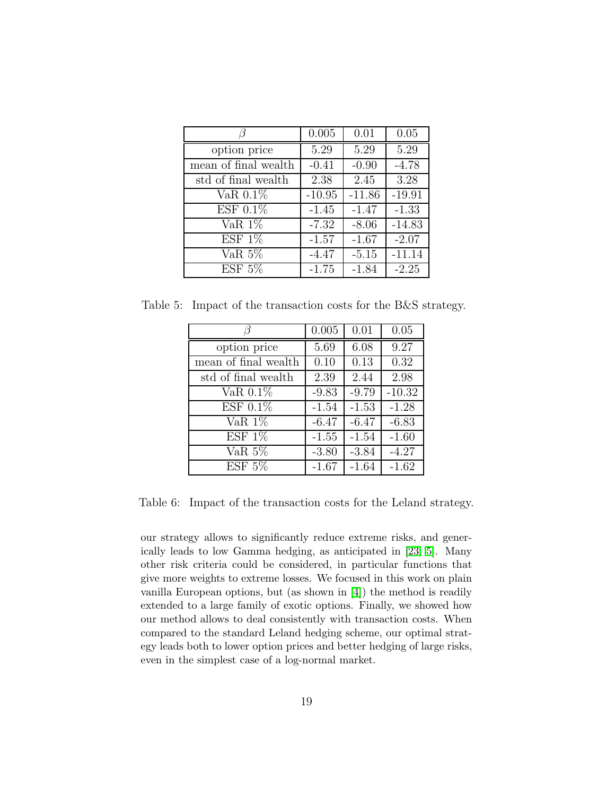|                      | 0.005    | 0.01     | 0.05     |
|----------------------|----------|----------|----------|
| option price         | 5.29     | 5.29     | 5.29     |
| mean of final wealth | $-0.41$  | $-0.90$  | $-4.78$  |
| std of final wealth  | 2.38     | 2.45     | 3.28     |
| VaR $0.1\%$          | $-10.95$ | $-11.86$ | $-19.91$ |
| $EST 0.1\%$          | $-1.45$  | $-1.47$  | $-1.33$  |
| VaR $1\%$            | $-7.32$  | $-8.06$  | $-14.83$ |
| ESF 1%               | $-1.57$  | $-1.67$  | $-2.07$  |
| VaR $5\%$            | $-4.47$  | $-5.15$  | $-11.14$ |
| ESF 5%               | $-1.75$  | $-1.84$  | $-2.25$  |

<span id="page-18-0"></span>Table 5: Impact of the transaction costs for the B&S strategy.

|                      | 0.005   | 0.01    | 0.05     |
|----------------------|---------|---------|----------|
| option price         | 5.69    | 6.08    | 9.27     |
| mean of final wealth | 0.10    | 0.13    | 0.32     |
| std of final wealth  | 2.39    | 2.44    | 2.98     |
| VaR $0.1\%$          | $-9.83$ | $-9.79$ | $-10.32$ |
| ESF 0.1%             | $-1.54$ | $-1.53$ | $-1.28$  |
| VaR $1\%$            | $-6.47$ | $-6.47$ | $-6.83$  |
| ESF 1%               | $-1.55$ | $-1.54$ | $-1.60$  |
| VaR $5\%$            | $-3.80$ | $-3.84$ | $-4.27$  |
| ESF 5%               | $-1.67$ | $-1.64$ | $-1.62$  |

<span id="page-18-1"></span>Table 6: Impact of the transaction costs for the Leland strategy.

our strategy allows to significantly reduce extreme risks, and generically leads to low Gamma hedging, as anticipated in [\[23,](#page-21-11) [5\]](#page-20-4). Many other risk criteria could be considered, in particular functions that give more weights to extreme losses. We focused in this work on plain vanilla European options, but (as shown in [\[4\]](#page-20-3)) the method is readily extended to a large family of exotic options. Finally, we showed how our method allows to deal consistently with transaction costs. When compared to the standard Leland hedging scheme, our optimal strategy leads both to lower option prices and better hedging of large risks, even in the simplest case of a log-normal market.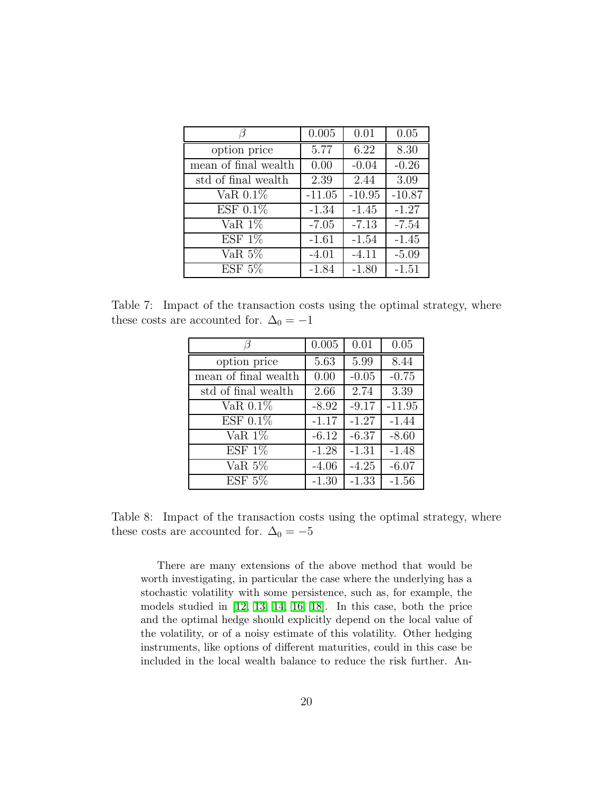|                            | 0.005    | 0.01     | 0.05     |
|----------------------------|----------|----------|----------|
| option price               | 5.77     | 6.22     | 8.30     |
| mean of final wealth       | 0.00     | $-0.04$  | $-0.26$  |
| std of final wealth        | 2.39     | 2.44     | 3.09     |
| VaR $0.1\%$                | $-11.05$ | $-10.95$ | $-10.87$ |
| ESF $0.1\%$                | $-1.34$  | $-1.45$  | $-1.27$  |
| $\overline{\text{VaR}}$ 1% | $-7.05$  | $-7.13$  | $-7.54$  |
| ESF 1%                     | $-1.61$  | $-1.54$  | $-1.45$  |
| VaR $5\%$                  | $-4.01$  | $-4.11$  | $-5.09$  |
| ESF 5%                     | $-1.84$  | $-1.80$  | $-1.51$  |

<span id="page-19-0"></span>Table 7: Impact of the transaction costs using the optimal strategy, where these costs are accounted for.  $\Delta_0 = -1$ 

|                      | 0.005   | 0.01    | 0.05     |
|----------------------|---------|---------|----------|
| option price         | 5.63    | 5.99    | 8.44     |
| mean of final wealth | 0.00    | $-0.05$ | $-0.75$  |
| std of final wealth  | 2.66    | 2.74    | 3.39     |
| VaR $0.1\%$          | $-8.92$ | $-9.17$ | $-11.95$ |
| $ESF 0.1\%$          | $-1.17$ | $-1.27$ | $-1.44$  |
| VaR $1\%$            | $-6.12$ | $-6.37$ | $-8.60$  |
| ESF 1%               | $-1.28$ | $-1.31$ | $-1.48$  |
| VaR $5\%$            | $-4.06$ | $-4.25$ | $-6.07$  |
| ESF 5%               | $-1.30$ | $-1.33$ | $-1.56$  |

<span id="page-19-1"></span>Table 8: Impact of the transaction costs using the optimal strategy, where these costs are accounted for.  $\Delta_0=-5$ 

There are many extensions of the above method that would be worth investigating, in particular the case where the underlying has a stochastic volatility with some persistence, such as, for example, the models studied in [\[12,](#page-21-0) [13,](#page-21-1) [14,](#page-21-2) [16,](#page-21-4) [18\]](#page-21-6). In this case, both the price and the optimal hedge should explicitly depend on the local value of the volatility, or of a noisy estimate of this volatility. Other hedging instruments, like options of different maturities, could in this case be included in the local wealth balance to reduce the risk further. An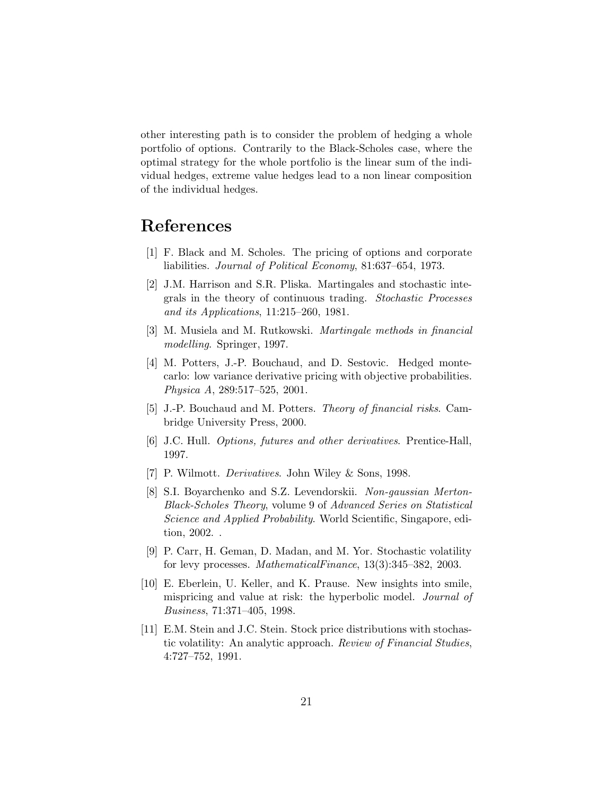other interesting path is to consider the problem of hedging a whole portfolio of options. Contrarily to the Black-Scholes case, where the optimal strategy for the whole portfolio is the linear sum of the individual hedges, extreme value hedges lead to a non linear composition of the individual hedges.

### <span id="page-20-0"></span>References

- [1] F. Black and M. Scholes. The pricing of options and corporate liabilities. Journal of Political Economy, 81:637–654, 1973.
- <span id="page-20-1"></span>[2] J.M. Harrison and S.R. Pliska. Martingales and stochastic integrals in the theory of continuous trading. Stochastic Processes and its Applications, 11:215–260, 1981.
- <span id="page-20-3"></span><span id="page-20-2"></span>[3] M. Musiela and M. Rutkowski. Martingale methods in financial modelling. Springer, 1997.
- [4] M. Potters, J.-P. Bouchaud, and D. Sestovic. Hedged montecarlo: low variance derivative pricing with objective probabilities. Physica A, 289:517–525, 2001.
- <span id="page-20-4"></span>[5] J.-P. Bouchaud and M. Potters. Theory of financial risks. Cambridge University Press, 2000.
- <span id="page-20-6"></span><span id="page-20-5"></span>[6] J.C. Hull. Options, futures and other derivatives. Prentice-Hall, 1997.
- <span id="page-20-7"></span>[7] P. Wilmott. Derivatives. John Wiley & Sons, 1998.
- [8] S.I. Boyarchenko and S.Z. Levendorskii. Non-gaussian Merton-Black-Scholes Theory, volume 9 of Advanced Series on Statistical Science and Applied Probability. World Scientific, Singapore, edition, 2002. .
- <span id="page-20-8"></span>[9] P. Carr, H. Geman, D. Madan, and M. Yor. Stochastic volatility for levy processes. MathematicalFinance, 13(3):345–382, 2003.
- <span id="page-20-9"></span>[10] E. Eberlein, U. Keller, and K. Prause. New insights into smile, mispricing and value at risk: the hyperbolic model. Journal of Business, 71:371–405, 1998.
- <span id="page-20-10"></span>[11] E.M. Stein and J.C. Stein. Stock price distributions with stochastic volatility: An analytic approach. Review of Financial Studies, 4:727–752, 1991.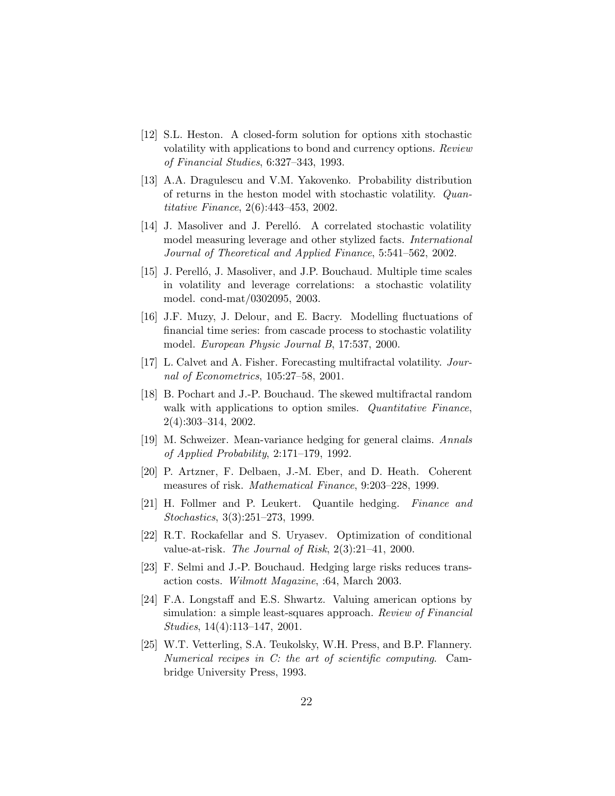- <span id="page-21-0"></span>[12] S.L. Heston. A closed-form solution for options xith stochastic volatility with applications to bond and currency options. Review of Financial Studies, 6:327–343, 1993.
- <span id="page-21-1"></span>[13] A.A. Dragulescu and V.M. Yakovenko. Probability distribution of returns in the heston model with stochastic volatility. Quantitative Finance, 2(6):443–453, 2002.
- <span id="page-21-2"></span>[14] J. Masoliver and J. Perelló. A correlated stochastic volatility model measuring leverage and other stylized facts. International Journal of Theoretical and Applied Finance, 5:541–562, 2002.
- <span id="page-21-3"></span>[15] J. Perelló, J. Masoliver, and J.P. Bouchaud. Multiple time scales in volatility and leverage correlations: a stochastic volatility model. cond-mat/0302095, 2003.
- <span id="page-21-4"></span>[16] J.F. Muzy, J. Delour, and E. Bacry. Modelling fluctuations of financial time series: from cascade process to stochastic volatility model. European Physic Journal B, 17:537, 2000.
- <span id="page-21-6"></span><span id="page-21-5"></span>[17] L. Calvet and A. Fisher. Forecasting multifractal volatility. Journal of Econometrics, 105:27–58, 2001.
- [18] B. Pochart and J.-P. Bouchaud. The skewed multifractal random walk with applications to option smiles. Quantitative Finance, 2(4):303–314, 2002.
- <span id="page-21-8"></span><span id="page-21-7"></span>[19] M. Schweizer. Mean-variance hedging for general claims. Annals of Applied Probability, 2:171–179, 1992.
- <span id="page-21-9"></span>[20] P. Artzner, F. Delbaen, J.-M. Eber, and D. Heath. Coherent measures of risk. Mathematical Finance, 9:203–228, 1999.
- [21] H. Follmer and P. Leukert. Quantile hedging. Finance and Stochastics, 3(3):251–273, 1999.
- <span id="page-21-10"></span>[22] R.T. Rockafellar and S. Uryasev. Optimization of conditional value-at-risk. The Journal of Risk, 2(3):21–41, 2000.
- <span id="page-21-12"></span><span id="page-21-11"></span>[23] F. Selmi and J.-P. Bouchaud. Hedging large risks reduces transaction costs. Wilmott Magazine, :64, March 2003.
- [24] F.A. Longstaff and E.S. Shwartz. Valuing american options by simulation: a simple least-squares approach. Review of Financial Studies, 14(4):113–147, 2001.
- <span id="page-21-13"></span>[25] W.T. Vetterling, S.A. Teukolsky, W.H. Press, and B.P. Flannery. Numerical recipes in C: the art of scientific computing. Cambridge University Press, 1993.